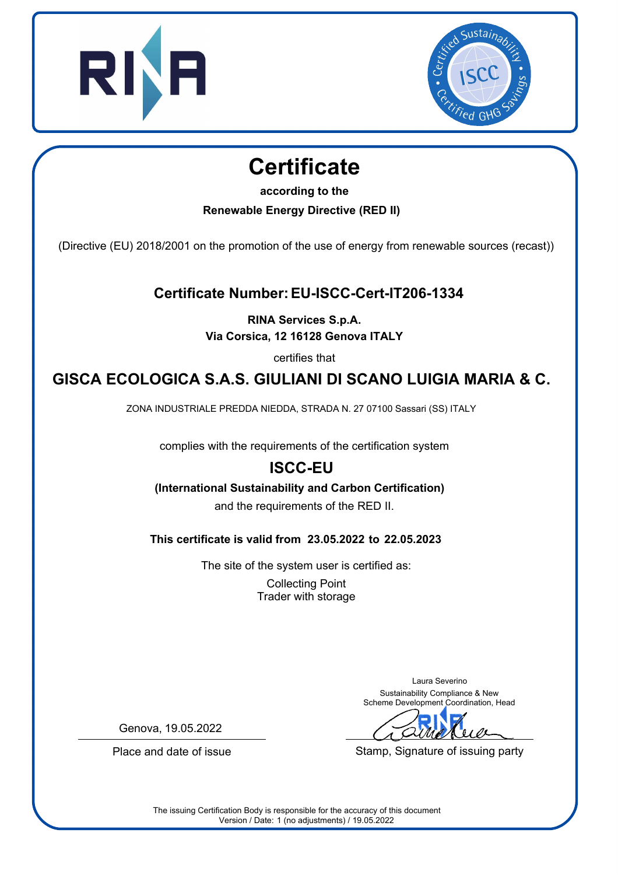



## **Certificate**

**according to the**

**Renewable Energy Directive (RED II)**

(Directive (EU) 2018/2001 on the promotion of the use of energy from renewable sources (recast))

**Certificate Number: EU-ISCC-Cert-IT206-1334**

**RINA Services S.p.A. Via Corsica, 12 16128 Genova ITALY**

certifies that

## **GISCA ECOLOGICA S.A.S. GIULIANI DI SCANO LUIGIA MARIA & C.**

ZONA INDUSTRIALE PREDDA NIEDDA, STRADA N. 27 07100 Sassari (SS) ITALY

complies with the requirements of the certification system

## **ISCC-EU**

## **(International Sustainability and Carbon Certification)**

and the requirements of the RED II.

**This certificate is valid from 23.05.2022 to 22.05.2023**

The site of the system user is certified as: Collecting Point Trader with storage

> Laura Severino Sustainability Compliance & New Scheme Development Coordination, Head

Stamp, Signature of issuing party

Genova, 19.05.2022

Place and date of issue

The issuing Certification Body is responsible for the accuracy of this document Version / Date: 1 (no adjustments) / 19.05.2022